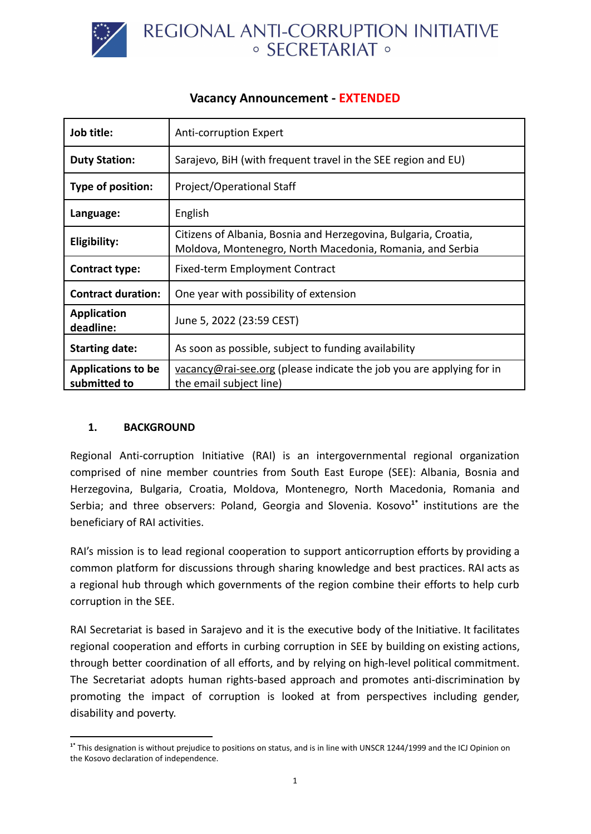

| Job title:                                | Anti-corruption Expert                                                                                                       |
|-------------------------------------------|------------------------------------------------------------------------------------------------------------------------------|
| <b>Duty Station:</b>                      | Sarajevo, BiH (with frequent travel in the SEE region and EU)                                                                |
| Type of position:                         | Project/Operational Staff                                                                                                    |
| Language:                                 | English                                                                                                                      |
| Eligibility:                              | Citizens of Albania, Bosnia and Herzegovina, Bulgaria, Croatia,<br>Moldova, Montenegro, North Macedonia, Romania, and Serbia |
| <b>Contract type:</b>                     | Fixed-term Employment Contract                                                                                               |
| <b>Contract duration:</b>                 | One year with possibility of extension                                                                                       |
| <b>Application</b><br>deadline:           | June 5, 2022 (23:59 CEST)                                                                                                    |
| <b>Starting date:</b>                     | As soon as possible, subject to funding availability                                                                         |
| <b>Applications to be</b><br>submitted to | vacancy@rai-see.org (please indicate the job you are applying for in<br>the email subject line)                              |

# **Vacancy Announcement - EXTENDED**

#### **1. BACKGROUND**

Regional Anti-corruption Initiative (RAI) is an intergovernmental regional organization comprised of nine member countries from South East Europe (SEE): Albania, Bosnia and Herzegovina, Bulgaria, Croatia, Moldova, Montenegro, North Macedonia, Romania and Serbia; and three observers: Poland, Georgia and Slovenia. Kosovo<sup>1\*</sup> institutions are the beneficiary of RAI activities.

RAI's mission is to lead regional cooperation to support anticorruption efforts by providing a common platform for discussions through sharing knowledge and best practices. RAI acts as a regional hub through which governments of the region combine their efforts to help curb corruption in the SEE.

RAI Secretariat is based in Sarajevo and it is the executive body of the Initiative. It facilitates regional cooperation and efforts in curbing corruption in SEE by building on existing actions, through better coordination of all efforts, and by relying on high-level political commitment. The Secretariat adopts human rights-based approach and promotes anti-discrimination by promoting the impact of corruption is looked at from perspectives including gender, disability and poverty.

**<sup>1\*</sup>** This designation is without prejudice to positions on status, and is in line with UNSCR 1244/1999 and the ICJ Opinion on the Kosovo declaration of independence.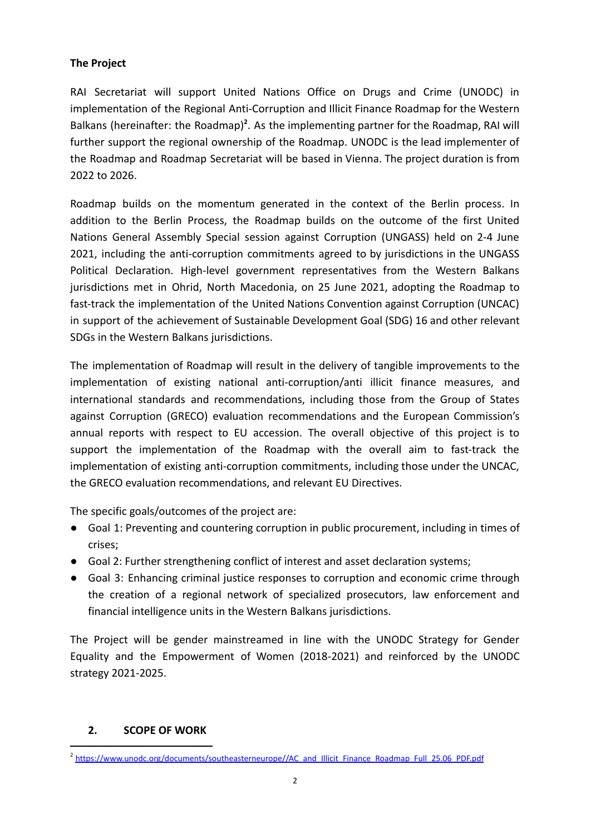#### **The Project**

RAI Secretariat will support United Nations Office on Drugs and Crime (UNODC) in implementation of the Regional Anti-Corruption and Illicit Finance Roadmap for the Western Balkans (hereinafter: the Roadmap)<sup>2</sup>. As the implementing partner for the Roadmap, RAI will further support the regional ownership of the Roadmap. UNODC is the lead implementer of the Roadmap and Roadmap Secretariat will be based in Vienna. The project duration is from 2022 to 2026.

Roadmap builds on the momentum generated in the context of the Berlin process. In addition to the Berlin Process, the Roadmap builds on the outcome of the first United Nations General Assembly Special session against Corruption (UNGASS) held on 2-4 June 2021, including the anti-corruption commitments agreed to by jurisdictions in the UNGASS Political Declaration. High-level government representatives from the Western Balkans jurisdictions met in Ohrid, North Macedonia, on 25 June 2021, adopting the Roadmap to fast-track the implementation of the United Nations Convention against Corruption (UNCAC) in support of the achievement of Sustainable Development Goal (SDG) 16 and other relevant SDGs in the Western Balkans jurisdictions.

The implementation of Roadmap will result in the delivery of tangible improvements to the implementation of existing national anti-corruption/anti illicit finance measures, and international standards and recommendations, including those from the Group of States against Corruption (GRECO) evaluation recommendations and the European Commission's annual reports with respect to EU accession. The overall objective of this project is to support the implementation of the Roadmap with the overall aim to fast-track the implementation of existing anti-corruption commitments, including those under the UNCAC, the GRECO evaluation recommendations, and relevant EU Directives.

The specific goals/outcomes of the project are:

- Goal 1: Preventing and countering corruption in public procurement, including in times of crises;
- Goal 2: Further strengthening conflict of interest and asset declaration systems;
- Goal 3: Enhancing criminal justice responses to corruption and economic crime through the creation of a regional network of specialized prosecutors, law enforcement and financial intelligence units in the Western Balkans jurisdictions.

The Project will be gender mainstreamed in line with the UNODC Strategy for Gender Equality and the Empowerment of Women (2018-2021) and reinforced by the UNODC strategy 2021-2025.

#### **2. SCOPE OF WORK**

<sup>&</sup>lt;sup>2</sup> [https://www.unodc.org/documents/southeasterneurope//AC\\_and\\_Illicit\\_Finance\\_Roadmap\\_Full\\_25.06\\_PDF.pdf](https://www.unodc.org/documents/southeasterneurope//AC_and_Illicit_Finance_Roadmap_Full_25.06_PDF.pdf)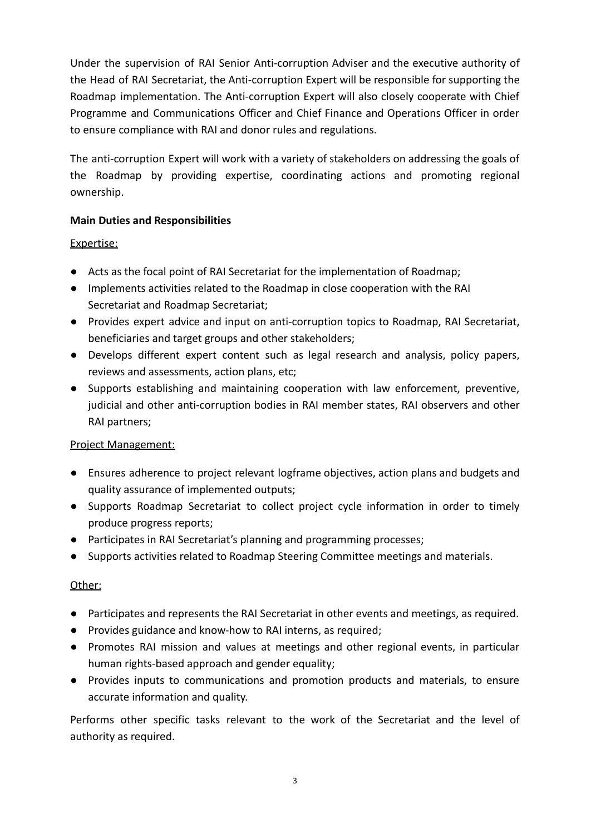Under the supervision of RAI Senior Anti-corruption Adviser and the executive authority of the Head of RAI Secretariat, the Anti-corruption Expert will be responsible for supporting the Roadmap implementation. The Anti-corruption Expert will also closely cooperate with Chief Programme and Communications Officer and Chief Finance and Operations Officer in order to ensure compliance with RAI and donor rules and regulations.

The anti-corruption Expert will work with a variety of stakeholders on addressing the goals of the Roadmap by providing expertise, coordinating actions and promoting regional ownership.

## **Main Duties and Responsibilities**

### Expertise:

- Acts as the focal point of RAI Secretariat for the implementation of Roadmap;
- Implements activities related to the Roadmap in close cooperation with the RAI Secretariat and Roadmap Secretariat;
- Provides expert advice and input on anti-corruption topics to Roadmap, RAI Secretariat, beneficiaries and target groups and other stakeholders;
- Develops different expert content such as legal research and analysis, policy papers, reviews and assessments, action plans, etc;
- Supports establishing and maintaining cooperation with law enforcement, preventive, judicial and other anti-corruption bodies in RAI member states, RAI observers and other RAI partners;

#### Project Management:

- Ensures adherence to project relevant logframe objectives, action plans and budgets and quality assurance of implemented outputs;
- Supports Roadmap Secretariat to collect project cycle information in order to timely produce progress reports;
- Participates in RAI Secretariat's planning and programming processes;
- Supports activities related to Roadmap Steering Committee meetings and materials.

#### Other:

- Participates and represents the RAI Secretariat in other events and meetings, as required.
- Provides guidance and know-how to RAI interns, as required;
- Promotes RAI mission and values at meetings and other regional events, in particular human rights-based approach and gender equality;
- Provides inputs to communications and promotion products and materials, to ensure accurate information and quality.

Performs other specific tasks relevant to the work of the Secretariat and the level of authority as required.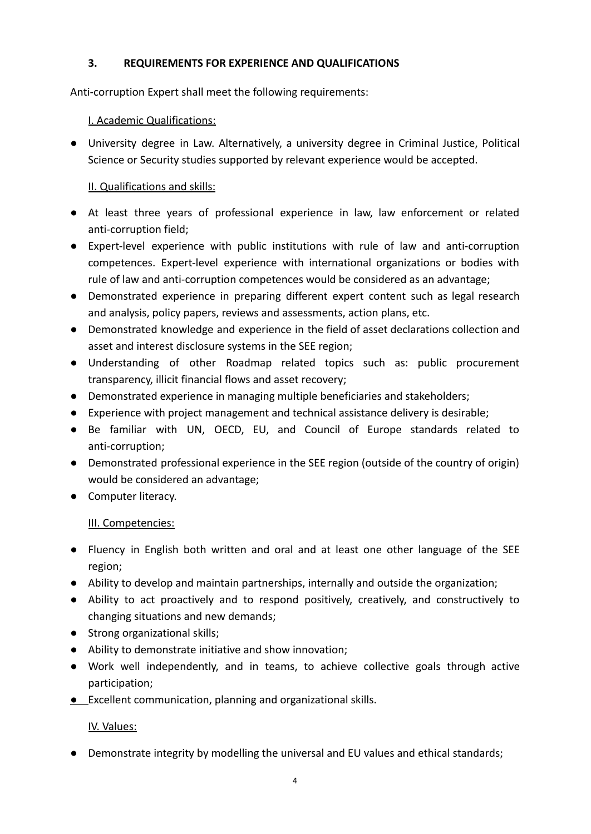### **3. REQUIREMENTS FOR EXPERIENCE AND QUALIFICATIONS**

Anti-corruption Expert shall meet the following requirements:

### I. Academic Qualifications:

● University degree in Law. Alternatively, a university degree in Criminal Justice, Political Science or Security studies supported by relevant experience would be accepted.

### II. Qualifications and skills:

- At least three years of professional experience in law, law enforcement or related anti-corruption field;
- Expert-level experience with public institutions with rule of law and anti-corruption competences. Expert-level experience with international organizations or bodies with rule of law and anti-corruption competences would be considered as an advantage;
- Demonstrated experience in preparing different expert content such as legal research and analysis, policy papers, reviews and assessments, action plans, etc.
- Demonstrated knowledge and experience in the field of asset declarations collection and asset and interest disclosure systems in the SEE region;
- Understanding of other Roadmap related topics such as: public procurement transparency, illicit financial flows and asset recovery;
- Demonstrated experience in managing multiple beneficiaries and stakeholders;
- Experience with project management and technical assistance delivery is desirable;
- Be familiar with UN, OECD, EU, and Council of Europe standards related to anti-corruption;
- Demonstrated professional experience in the SEE region (outside of the country of origin) would be considered an advantage;
- Computer literacy.

#### III. Competencies:

- Fluency in English both written and oral and at least one other language of the SEE region;
- Ability to develop and maintain partnerships, internally and outside the organization;
- Ability to act proactively and to respond positively, creatively, and constructively to changing situations and new demands;
- Strong organizational skills;
- Ability to demonstrate initiative and show innovation;
- Work well independently, and in teams, to achieve collective goals through active participation;
- Excellent communication, planning and organizational skills.

#### IV. Values:

● Demonstrate integrity by modelling the universal and EU values and ethical standards;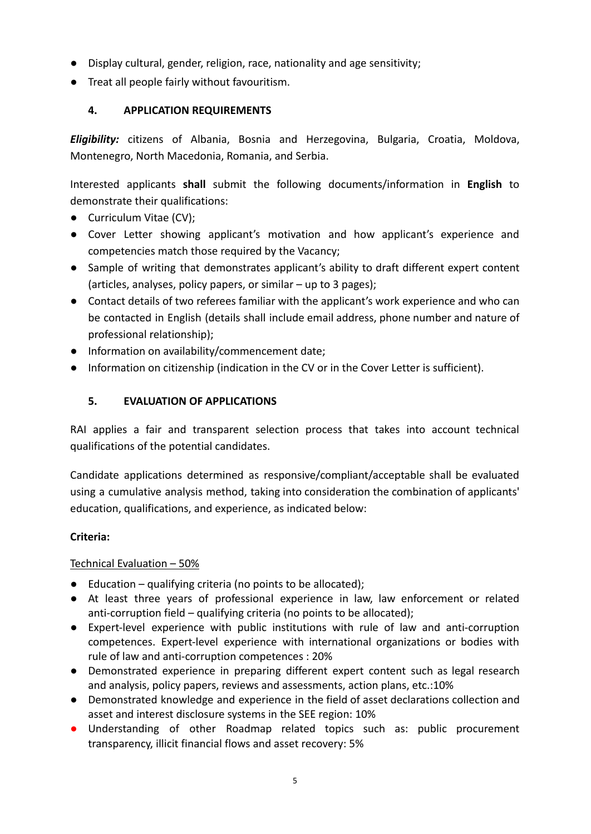- Display cultural, gender, religion, race, nationality and age sensitivity;
- Treat all people fairly without favouritism.

## **4. APPLICATION REQUIREMENTS**

*Eligibility:* citizens of Albania, Bosnia and Herzegovina, Bulgaria, Croatia, Moldova, Montenegro, North Macedonia, Romania, and Serbia.

Interested applicants **shall** submit the following documents/information in **English** to demonstrate their qualifications:

- Curriculum Vitae (CV):
- Cover Letter showing applicant's motivation and how applicant's experience and competencies match those required by the Vacancy;
- Sample of writing that demonstrates applicant's ability to draft different expert content (articles, analyses, policy papers, or similar – up to 3 pages);
- Contact details of two referees familiar with the applicant's work experience and who can be contacted in English (details shall include email address, phone number and nature of professional relationship);
- Information on availability/commencement date;
- Information on citizenship (indication in the CV or in the Cover Letter is sufficient).

## **5. EVALUATION OF APPLICATIONS**

RAI applies a fair and transparent selection process that takes into account technical qualifications of the potential candidates.

Candidate applications determined as responsive/compliant/acceptable shall be evaluated using a cumulative analysis method, taking into consideration the combination of applicants' education, qualifications, and experience, as indicated below:

## **Criteria:**

## Technical Evaluation – 50%

- $\bullet$  Education qualifying criteria (no points to be allocated);
- At least three years of professional experience in law, law enforcement or related anti-corruption field – qualifying criteria (no points to be allocated);
- Expert-level experience with public institutions with rule of law and anti-corruption competences. Expert-level experience with international organizations or bodies with rule of law and anti-corruption competences : 20%
- Demonstrated experience in preparing different expert content such as legal research and analysis, policy papers, reviews and assessments, action plans, etc.:10%
- Demonstrated knowledge and experience in the field of asset declarations collection and asset and interest disclosure systems in the SEE region: 10%
- Understanding of other Roadmap related topics such as: public procurement transparency, illicit financial flows and asset recovery: 5%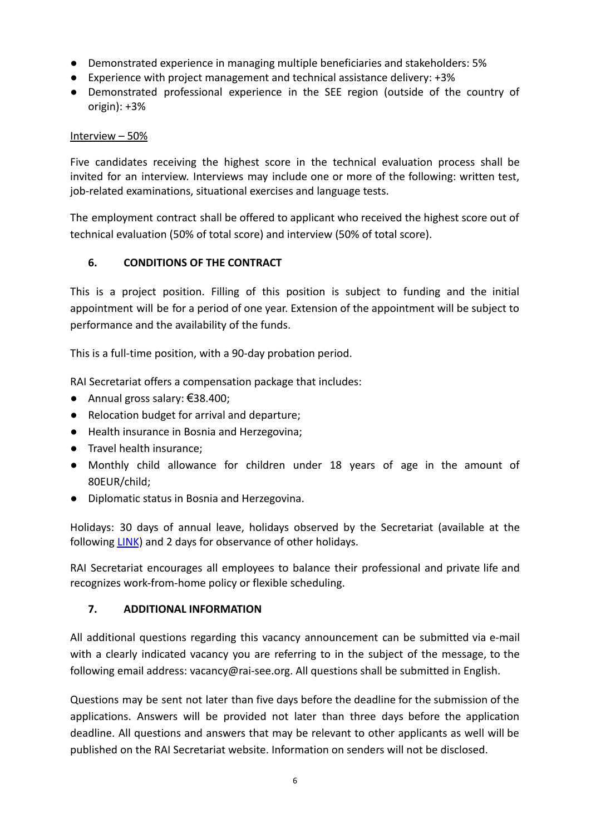- Demonstrated experience in managing multiple beneficiaries and stakeholders: 5%
- Experience with project management and technical assistance delivery: +3%
- Demonstrated professional experience in the SEE region (outside of the country of origin): +3%

#### Interview – 50%

Five candidates receiving the highest score in the technical evaluation process shall be invited for an interview. Interviews may include one or more of the following: written test, job-related examinations, situational exercises and language tests.

The employment contract shall be offered to applicant who received the highest score out of technical evaluation (50% of total score) and interview (50% of total score).

#### **6. CONDITIONS OF THE CONTRACT**

This is a project position. Filling of this position is subject to funding and the initial appointment will be for a period of one year. Extension of the appointment will be subject to performance and the availability of the funds.

This is a full-time position, with a 90-day probation period.

RAI Secretariat offers a compensation package that includes:

- Annual gross salary: €38.400;
- Relocation budget for arrival and departure;
- Health insurance in Bosnia and Herzegovina;
- Travel health insurance;
- Monthly child allowance for children under 18 years of age in the amount of 80EUR/child;
- Diplomatic status in Bosnia and Herzegovina.

Holidays: 30 days of annual leave, holidays observed by the Secretariat (available at the following [LINK](http://www.rai-see.org/working-hours-and-holidays/)) and 2 days for observance of other holidays.

RAI Secretariat encourages all employees to balance their professional and private life and recognizes work-from-home policy or flexible scheduling.

#### **7. ADDITIONAL INFORMATION**

All additional questions regarding this vacancy announcement can be submitted via e-mail with a clearly indicated vacancy you are referring to in the subject of the message, to the following email address: vacancy@rai-see.org. All questions shall be submitted in English.

Questions may be sent not later than five days before the deadline for the submission of the applications. Answers will be provided not later than three days before the application deadline. All questions and answers that may be relevant to other applicants as well will be published on the RAI Secretariat website. Information on senders will not be disclosed.